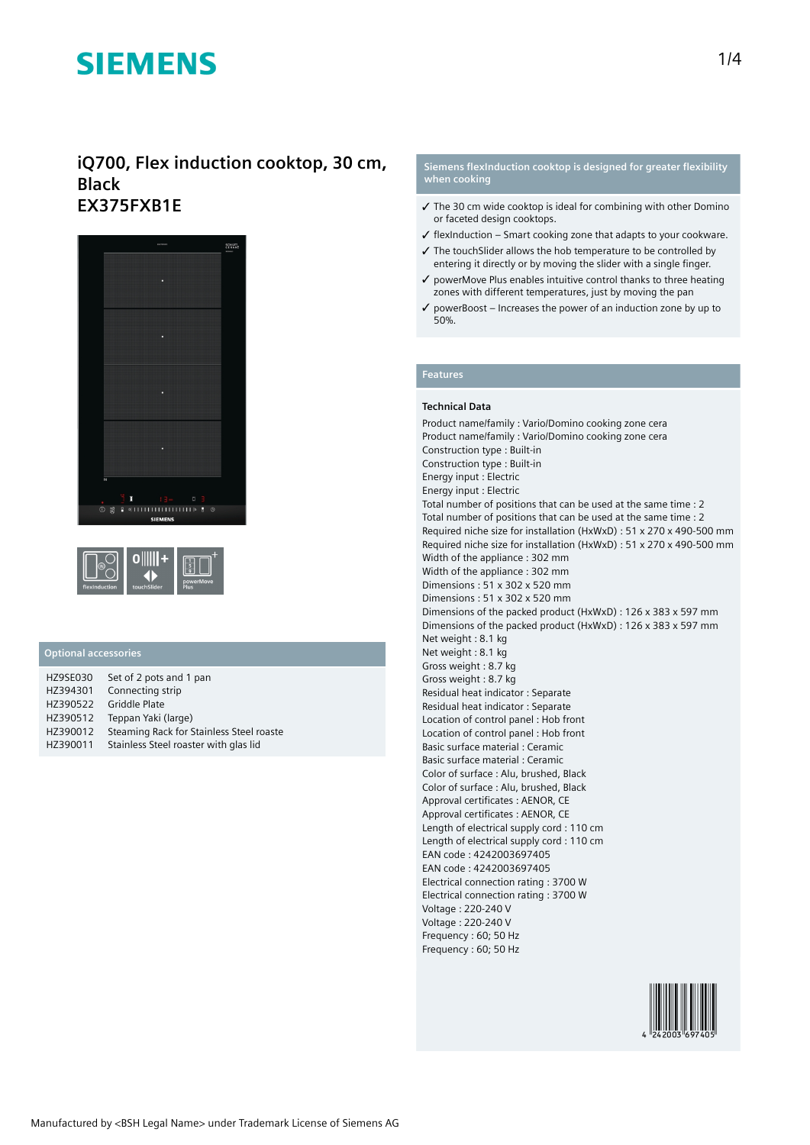### **iQ700, Flex induction cooktop, 30 cm, Black EX375FXB1E**





### **Optional accessories**

| <b>HZ9SE030</b> | Set of 2 pots and 1 pan                  |
|-----------------|------------------------------------------|
| HZ394301        | Connecting strip                         |
| HZ390522        | <b>Griddle Plate</b>                     |
| HZ390512        | Teppan Yaki (large)                      |
| HZ390012        | Steaming Rack for Stainless Steel roaste |
| HZ390011        | Stainless Steel roaster with glas lid    |

#### **Siemens flexInduction cooktop is designed for greater flexibility when cooking**

- ✓ The 30 cm wide cooktop is ideal for combining with other Domino or faceted design cooktops.
- ✓ flexInduction Smart cooking zone that adapts to your cookware.
- ✓ The touchSlider allows the hob temperature to be controlled by entering it directly or by moving the slider with a single finger.
- ✓ powerMove Plus enables intuitive control thanks to three heating zones with different temperatures, just by moving the pan
- $\checkmark$  powerBoost Increases the power of an induction zone by up to 50%.

### **Features**

#### **Technical Data**

Product name/family : Vario/Domino cooking zone cera Product name/family : Vario/Domino cooking zone cera Construction type : Built-in Construction type : Built-in Energy input : Electric Energy input : Electric Total number of positions that can be used at the same time : 2 Total number of positions that can be used at the same time : 2 Required niche size for installation (HxWxD) : 51 x 270 x 490-500 mm Required niche size for installation (HxWxD) : 51 x 270 x 490-500 mm Width of the appliance : 302 mm Width of the appliance : 302 mm Dimensions : 51 x 302 x 520 mm Dimensions : 51 x 302 x 520 mm Dimensions of the packed product (HxWxD) : 126 x 383 x 597 mm Dimensions of the packed product (HxWxD) : 126 x 383 x 597 mm Net weight : 8.1 kg Net weight : 8.1 kg Gross weight : 8.7 kg Gross weight : 8.7 kg Residual heat indicator : Separate Residual heat indicator : Separate Location of control panel : Hob front Location of control panel : Hob front Basic surface material : Ceramic Basic surface material : Ceramic Color of surface : Alu, brushed, Black Color of surface : Alu, brushed, Black Approval certificates : AENOR, CE Approval certificates : AENOR, CE Length of electrical supply cord : 110 cm Length of electrical supply cord : 110 cm EAN code : 4242003697405 EAN code : 4242003697405 Electrical connection rating : 3700 W Electrical connection rating : 3700 W Voltage : 220-240 V Voltage : 220-240 V Frequency : 60; 50 Hz Frequency : 60; 50 Hz

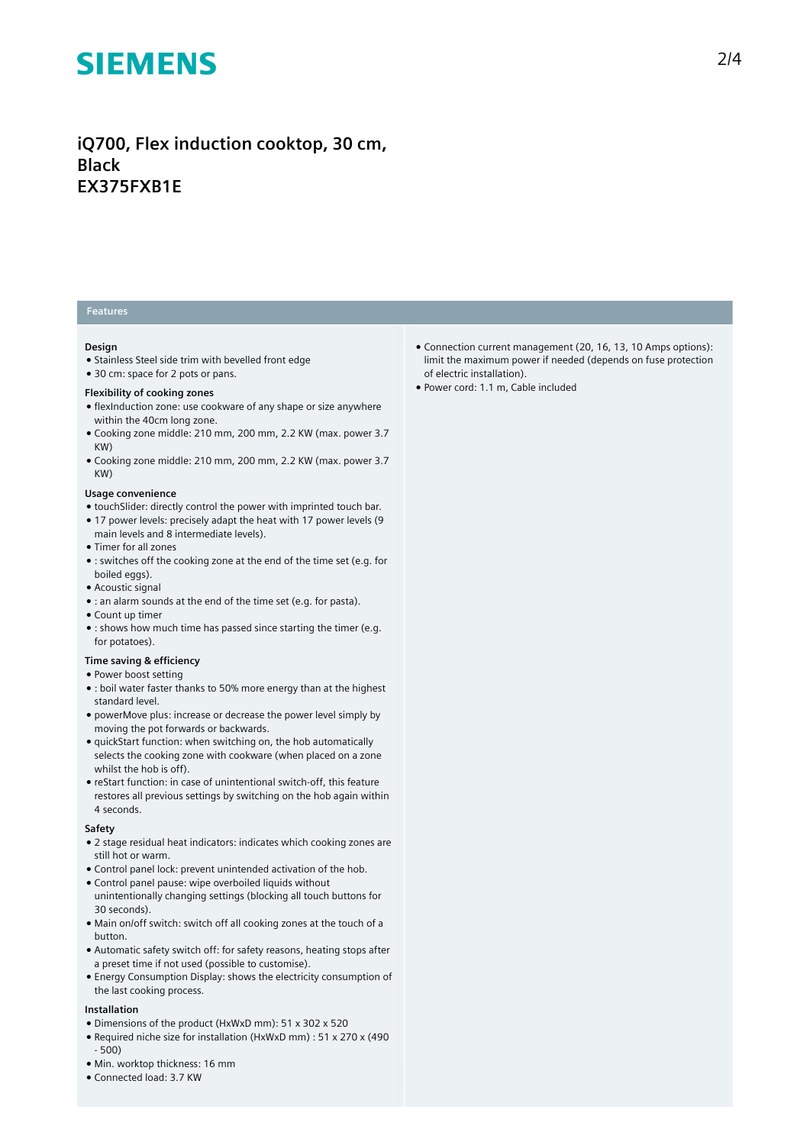## **iQ700, Flex induction cooktop, 30 cm, Black EX375FXB1E**

### **Features**

#### **Design**

- Stainless Steel side trim with bevelled front edge
- 30 cm: space for 2 pots or pans.

#### **Flexibility of cooking zones**

- flexInduction zone: use cookware of any shape or size anywhere within the 40cm long zone.
- Cooking zone middle: 210 mm, 200 mm, 2.2 KW (max. power 3.7 KW)
- Cooking zone middle: 210 mm, 200 mm, 2.2 KW (max. power 3.7 KW)

#### **Usage convenience**

- touchSlider: directly control the power with imprinted touch bar.
- 17 power levels: precisely adapt the heat with 17 power levels (9 main levels and 8 intermediate levels).
- Timer for all zones
- : switches off the cooking zone at the end of the time set (e.g. for boiled eggs).
- Acoustic signal
- : an alarm sounds at the end of the time set (e.g. for pasta).
- Count up timer
- : shows how much time has passed since starting the timer (e.g. for potatoes).

#### **Time saving & efficiency**

- Power boost setting
- : boil water faster thanks to 50% more energy than at the highest standard level.
- powerMove plus: increase or decrease the power level simply by moving the pot forwards or backwards.
- quickStart function: when switching on, the hob automatically selects the cooking zone with cookware (when placed on a zone whilst the hob is off).
- reStart function: in case of unintentional switch-off, this feature restores all previous settings by switching on the hob again within 4 seconds.

#### **Safety**

- 2 stage residual heat indicators: indicates which cooking zones are still hot or warm.
- Control panel lock: prevent unintended activation of the hob.
- Control panel pause: wipe overboiled liquids without unintentionally changing settings (blocking all touch buttons for 30 seconds).
- Main on/off switch: switch off all cooking zones at the touch of a button.
- Automatic safety switch off: for safety reasons, heating stops after a preset time if not used (possible to customise).
- Energy Consumption Display: shows the electricity consumption of the last cooking process.

#### **Installation**

- Dimensions of the product (HxWxD mm): 51 x 302 x 520
- Required niche size for installation (HxWxD mm) : 51 x 270 x (490 - 500)
- Min. worktop thickness: 16 mm
- Connected load: 3.7 KW
- Connection current management (20, 16, 13, 10 Amps options): limit the maximum power if needed (depends on fuse protection of electric installation).
- Power cord: 1.1 m, Cable included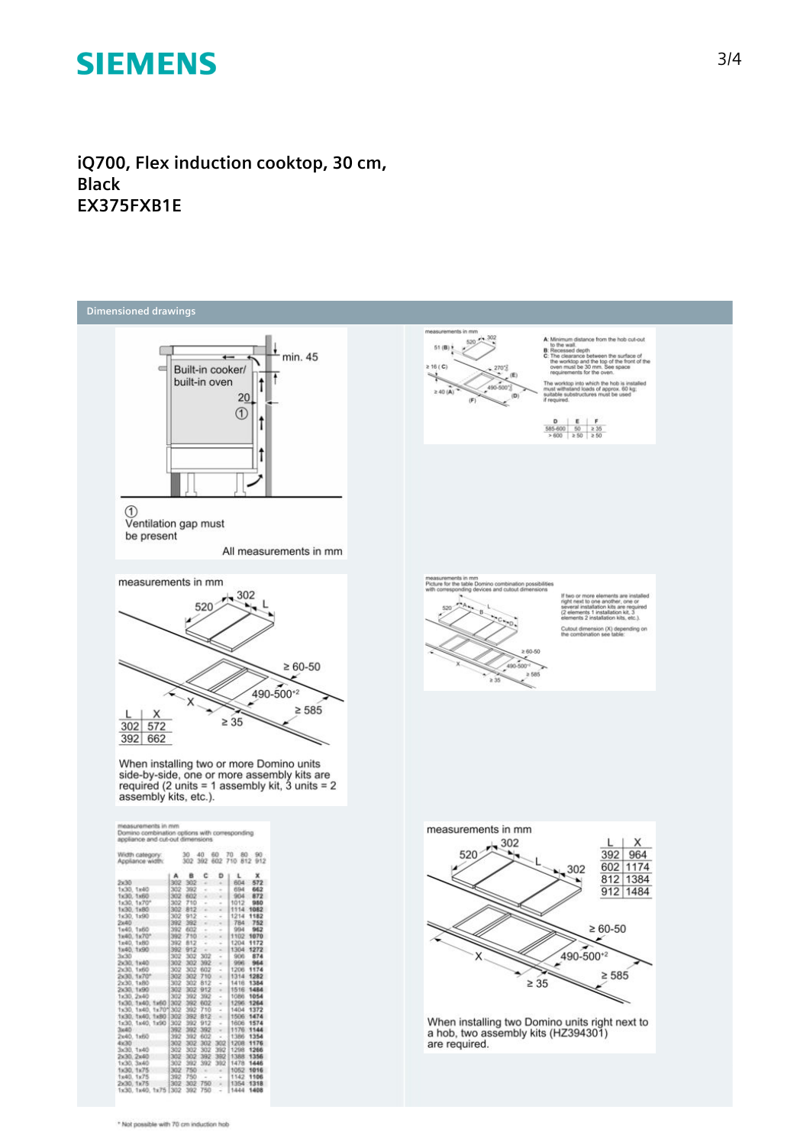**iQ700, Flex induction cooktop, 30 cm, Black EX375FXB1E**